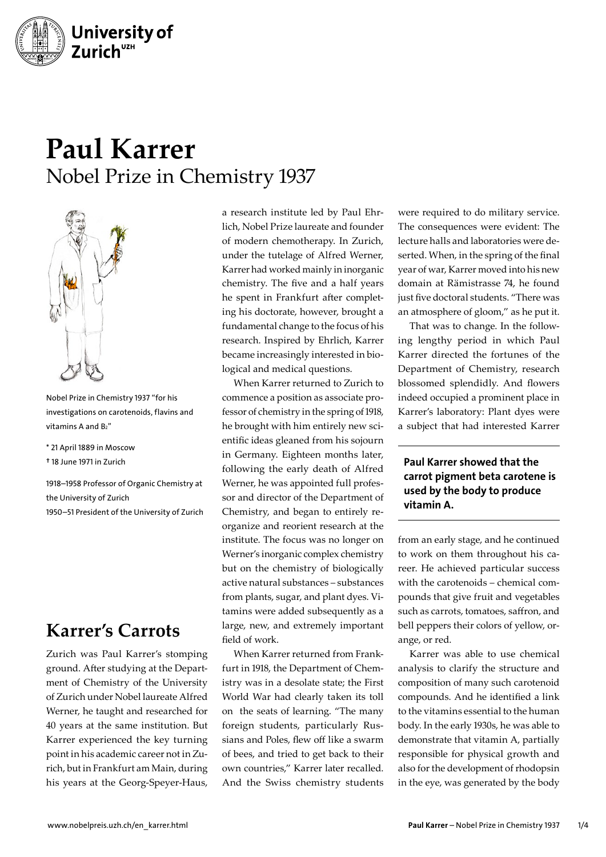

# **Paul Karrer** Nobel Prize in Chemistry 1937



Nobel Prize in Chemistry 1937 "for his investigations on carotenoids, flavins and vitamins A and B2"

- \* 21 April 1889 in Moscow
- † 18 June 1971 in Zurich

1918–1958 Professor of Organic Chemistry at the University of Zurich 1950–51 President of the University of Zurich

## **Karrer's Carrots**

Zurich was Paul Karrer's stomping ground. After studying at the Department of Chemistry of the University of Zurich under Nobel laureate Alfred Werner, he taught and researched for 40 years at the same institution. But Karrer experienced the key turning point in his academic career not in Zurich, but in Frankfurt am Main, during his years at the Georg-Speyer-Haus,

a research institute led by Paul Ehrlich, Nobel Prize laureate and founder of modern chemotherapy. In Zurich, under the tutelage of Alfred Werner, Karrer had worked mainly in inorganic chemistry. The five and a half years he spent in Frankfurt after completing his doctorate, however, brought a fundamental change to the focus of his research. Inspired by Ehrlich, Karrer became increasingly interested in biological and medical questions.

When Karrer returned to Zurich to commence a position as associate professor of chemistry in the spring of 1918, he brought with him entirely new scientific ideas gleaned from his sojourn in Germany. Eighteen months later, following the early death of Alfred Werner, he was appointed full professor and director of the Department of Chemistry, and began to entirely reorganize and reorient research at the institute. The focus was no longer on Werner's inorganic complex chemistry but on the chemistry of biologically active natural substances – substances from plants, sugar, and plant dyes. Vitamins were added subsequently as a large, new, and extremely important field of work.

When Karrer returned from Frankfurt in 1918, the Department of Chemistry was in a desolate state; the First World War had clearly taken its toll on the seats of learning. "The many foreign students, particularly Russians and Poles, flew off like a swarm of bees, and tried to get back to their own countries," Karrer later recalled. And the Swiss chemistry students

were required to do military service. The consequences were evident: The lecture halls and laboratories were deserted. When, in the spring of the final year of war, Karrer moved into his new domain at Rämistrasse 74, he found just five doctoral students. "There was an atmosphere of gloom," as he put it.

That was to change. In the following lengthy period in which Paul Karrer directed the fortunes of the Department of Chemistry, research blossomed splendidly. And flowers indeed occupied a prominent place in Karrer's laboratory: Plant dyes were a subject that had interested Karrer

#### Paul Karrer showed that the carrot pigment beta carotene is used by the body to produce vitamin A.

from an early stage, and he continued to work on them throughout his career. He achieved particular success with the carotenoids – chemical compounds that give fruit and vegetables such as carrots, tomatoes, saffron, and bell peppers their colors of yellow, orange, or red.

Karrer was able to use chemical analysis to clarify the structure and composition of many such carotenoid compounds. And he identified a link to the vitamins essential to the human body. In the early 1930s, he was able to demonstrate that vitamin A, partially responsible for physical growth and also for the development of rhodopsin in the eye, was generated by the body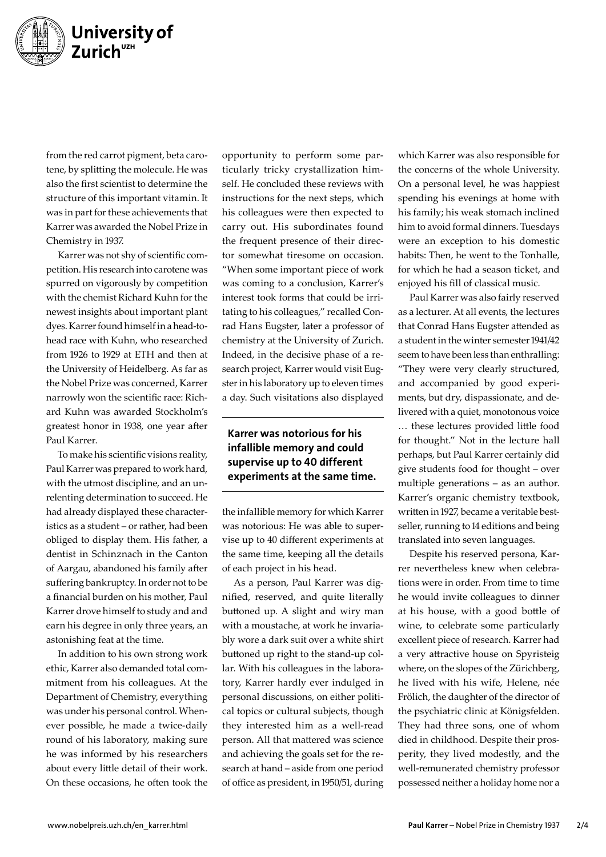

from the red carrot pigment, beta carotene, by splitting the molecule. He was also the first scientist to determine the structure of this important vitamin. It was in part for these achievements that Karrer was awarded the Nobel Prize in Chemistry in 1937.

Karrer was not shy of scientific competition. His research into carotene was spurred on vigorously by competition with the chemist Richard Kuhn for the newest insights about important plant dyes. Karrer found himself in a head-tohead race with Kuhn, who researched from 1926 to 1929 at ETH and then at the University of Heidelberg. As far as the Nobel Prize was concerned, Karrer narrowly won the scientific race: Richard Kuhn was awarded Stockholm's greatest honor in 1938, one year after Paul Karrer.

To make his scientific visions reality, Paul Karrer was prepared to work hard, with the utmost discipline, and an unrelenting determination to succeed. He had already displayed these characteristics as a student – or rather, had been obliged to display them. His father, a dentist in Schinznach in the Canton of Aargau, abandoned his family after suffering bankruptcy. In order not to be a financial burden on his mother, Paul Karrer drove himself to study and and earn his degree in only three years, an astonishing feat at the time.

In addition to his own strong work ethic, Karrer also demanded total commitment from his colleagues. At the Department of Chemistry, everything was under his personal control. Whenever possible, he made a twice-daily round of his laboratory, making sure he was informed by his researchers about every little detail of their work. On these occasions, he often took the

opportunity to perform some particularly tricky crystallization himself. He concluded these reviews with instructions for the next steps, which his colleagues were then expected to carry out. His subordinates found the frequent presence of their director somewhat tiresome on occasion. "When some important piece of work was coming to a conclusion, Karrer's interest took forms that could be irritating to his colleagues," recalled Conrad Hans Eugster, later a professor of chemistry at the University of Zurich. Indeed, in the decisive phase of a research project, Karrer would visit Eugster in his laboratory up to eleven times a day. Such visitations also displayed

#### Karrer was notorious for his infallible memory and could supervise up to 40 different experiments at the same time.

the infallible memory for which Karrer was notorious: He was able to supervise up to 40 different experiments at the same time, keeping all the details of each project in his head.

As a person, Paul Karrer was dignified, reserved, and quite literally buttoned up. A slight and wiry man with a moustache, at work he invariably wore a dark suit over a white shirt buttoned up right to the stand-up collar. With his colleagues in the laboratory, Karrer hardly ever indulged in personal discussions, on either political topics or cultural subjects, though they interested him as a well-read person. All that mattered was science and achieving the goals set for the research at hand – aside from one period of office as president, in 1950/51, during

which Karrer was also responsible for the concerns of the whole University. On a personal level, he was happiest spending his evenings at home with his family; his weak stomach inclined him to avoid formal dinners. Tuesdays were an exception to his domestic habits: Then, he went to the Tonhalle, for which he had a season ticket, and enjoyed his fill of classical music.

Paul Karrer was also fairly reserved as a lecturer. At all events, the lectures that Conrad Hans Eugster attended as a student in the winter semester 1941/42 seem to have been less than enthralling: "They were very clearly structured, and accompanied by good experiments, but dry, dispassionate, and delivered with a quiet, monotonous voice … these lectures provided little food for thought." Not in the lecture hall perhaps, but Paul Karrer certainly did give students food for thought – over multiple generations – as an author. Karrer's organic chemistry textbook, written in 1927, became a veritable bestseller, running to 14 editions and being translated into seven languages.

Despite his reserved persona, Karrer nevertheless knew when celebrations were in order. From time to time he would invite colleagues to dinner at his house, with a good bottle of wine, to celebrate some particularly excellent piece of research. Karrer had a very attractive house on Spyristeig where, on the slopes of the Zürichberg, he lived with his wife, Helene, née Frölich, the daughter of the director of the psychiatric clinic at Königsfelden. They had three sons, one of whom died in childhood. Despite their prosperity, they lived modestly, and the well-remunerated chemistry professor possessed neither a holiday home nor a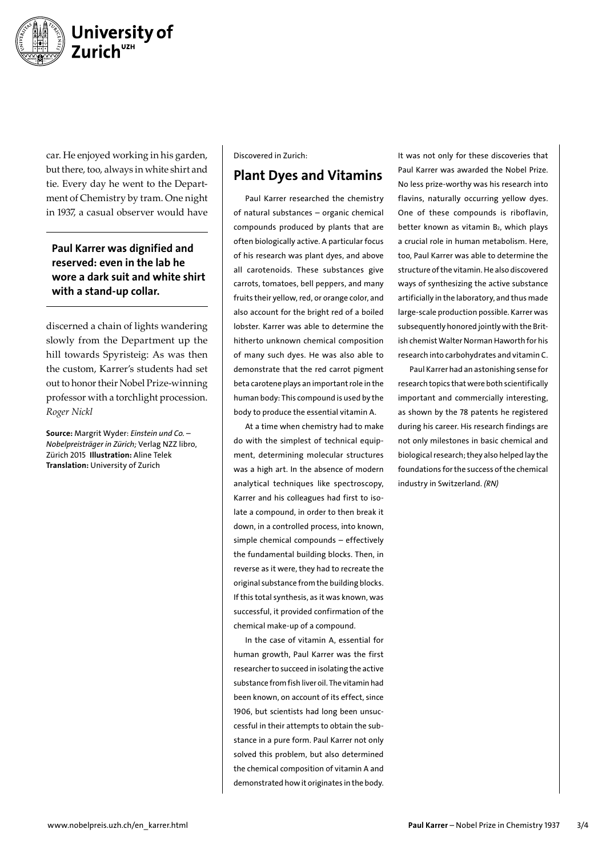

car. He enjoyed working in his garden, but there, too, always in white shirt and tie. Every day he went to the Department of Chemistry by tram. One night in 1937, a casual observer would have

#### Paul Karrer was dignified and reserved: even in the lab he wore a dark suit and white shirt with a stand-up collar.

discerned a chain of lights wandering slowly from the Department up the hill towards Spyristeig: As was then the custom, Karrer's students had set out to honor their Nobel Prize-winning professor with a torchlight procession. *Roger Nickl*

Source: Margrit Wyder: *Einstein und Co. – Nobelpreisträger in Zürich;* Verlag NZZ libro, Zürich 2015 Illustration: Aline Telek Translation: University of Zurich

#### Discovered in Zurich:

### Plant Dyes and Vitamins

Paul Karrer researched the chemistry of natural substances – organic chemical compounds produced by plants that are often biologically active. A particular focus of his research was plant dyes, and above all carotenoids. These substances give carrots, tomatoes, bell peppers, and many fruits their yellow, red, or orange color, and also account for the bright red of a boiled lobster. Karrer was able to determine the hitherto unknown chemical composition of many such dyes. He was also able to demonstrate that the red carrot pigment beta carotene plays an important role in the human body: This compound is used by the body to produce the essential vitamin A.

At a time when chemistry had to make do with the simplest of technical equipment, determining molecular structures was a high art. In the absence of modern analytical techniques like spectroscopy, Karrer and his colleagues had first to isolate a compound, in order to then break it down, in a controlled process, into known, simple chemical compounds – effectively the fundamental building blocks. Then, in reverse as it were, they had to recreate the original substance from the building blocks. If this total synthesis, as it was known, was successful, it provided confirmation of the chemical make-up of a compound.

In the case of vitamin A, essential for human growth, Paul Karrer was the first researcher to succeed in isolating the active substance from fish liver oil. The vitamin had been known, on account of its effect, since 1906, but scientists had long been unsuccessful in their attempts to obtain the substance in a pure form. Paul Karrer not only solved this problem, but also determined the chemical composition of vitamin A and demonstrated how it originates in the body.

It was not only for these discoveries that Paul Karrer was awarded the Nobel Prize. No less prize-worthy was his research into flavins, naturally occurring yellow dyes. One of these compounds is riboflavin, better known as vitamin B<sub>2</sub>, which plays a crucial role in human metabolism. Here, too, Paul Karrer was able to determine the structure of the vitamin. He also discovered ways of synthesizing the active substance artificially in the laboratory, and thus made large-scale production possible. Karrer was subsequently honored jointly with the British chemist Walter Norman Haworth for his research into carbohydrates and vitamin C.

Paul Karrer had an astonishing sense for research topics that were both scientifically important and commercially interesting, as shown by the 78 patents he registered during his career. His research findings are not only milestones in basic chemical and biological research; they also helped lay the foundations for the success of the chemical industry in Switzerland. *(RN)*